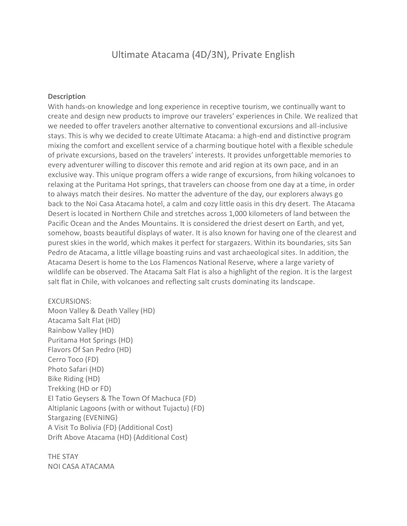## Ultimate Atacama (4D/3N), Private English

## **Description**

With hands-on knowledge and long experience in receptive tourism, we continually want to create and design new products to improve our travelers' experiences in Chile. We realized that we needed to offer travelers another alternative to conventional excursions and all-inclusive stays. This is why we decided to create Ultimate Atacama: a high-end and distinctive program mixing the comfort and excellent service of a charming boutique hotel with a flexible schedule of private excursions, based on the travelers' interests. It provides unforgettable memories to every adventurer willing to discover this remote and arid region at its own pace, and in an exclusive way. This unique program offers a wide range of excursions, from hiking volcanoes to relaxing at the Puritama Hot springs, that travelers can choose from one day at a time, in order to always match their desires. No matter the adventure of the day, our explorers always go back to the Noi Casa Atacama hotel, a calm and cozy little oasis in this dry desert. The Atacama Desert is located in Northern Chile and stretches across 1,000 kilometers of land between the Pacific Ocean and the Andes Mountains. It is considered the driest desert on Earth, and yet, somehow, boasts beautiful displays of water. It is also known for having one of the clearest and purest skies in the world, which makes it perfect for stargazers. Within its boundaries, sits San Pedro de Atacama, a little village boasting ruins and vast archaeological sites. In addition, the Atacama Desert is home to the Los Flamencos National Reserve, where a large variety of wildlife can be observed. The Atacama Salt Flat is also a highlight of the region. It is the largest salt flat in Chile, with volcanoes and reflecting salt crusts dominating its landscape.

## EXCURSIONS:

Moon Valley & Death Valley (HD) Atacama Salt Flat (HD) Rainbow Valley (HD) Puritama Hot Springs (HD) Flavors Of San Pedro (HD) Cerro Toco (FD) Photo Safari (HD) Bike Riding (HD) Trekking (HD or FD) El Tatio Geysers & The Town Of Machuca (FD) Altiplanic Lagoons (with or without Tujactu) (FD) Stargazing (EVENING) A Visit To Bolivia (FD) (Additional Cost) Drift Above Atacama (HD) (Additional Cost)

THE STAY NOI CASA ATACAMA